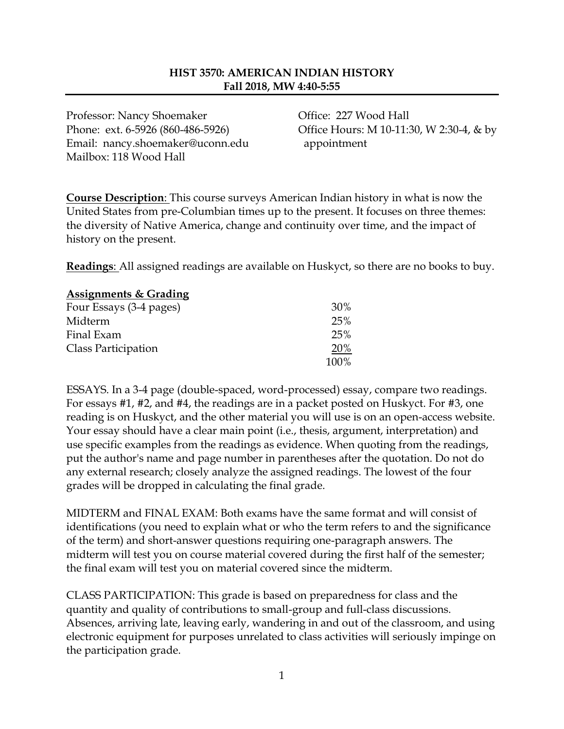## **HIST 3570: AMERICAN INDIAN HISTORY Fall 2018, MW 4:40-5:55**

Professor: Nancy Shoemaker Office: 227 Wood Hall Email: nancy.shoemaker@uconn.edu appointment Mailbox: 118 Wood Hall

Phone: ext. 6-5926 (860-486-5926) Office Hours: M 10-11:30, W 2:30-4, & by

**Course Description**: This course surveys American Indian history in what is now the United States from pre-Columbian times up to the present. It focuses on three themes: the diversity of Native America, change and continuity over time, and the impact of history on the present.

**Readings**: All assigned readings are available on Huskyct, so there are no books to buy.

| <b>Assignments &amp; Grading</b> |      |
|----------------------------------|------|
| Four Essays (3-4 pages)          | 30%  |
| Midterm                          | 25%  |
| Final Exam                       | 25%  |
| Class Participation              | 20%  |
|                                  | 100% |

ESSAYS. In a 3-4 page (double-spaced, word-processed) essay, compare two readings. For essays #1, #2, and #4, the readings are in a packet posted on Huskyct. For #3, one reading is on Huskyct, and the other material you will use is on an open-access website. Your essay should have a clear main point (i.e., thesis, argument, interpretation) and use specific examples from the readings as evidence. When quoting from the readings, put the author's name and page number in parentheses after the quotation. Do not do any external research; closely analyze the assigned readings. The lowest of the four grades will be dropped in calculating the final grade.

MIDTERM and FINAL EXAM: Both exams have the same format and will consist of identifications (you need to explain what or who the term refers to and the significance of the term) and short-answer questions requiring one-paragraph answers. The midterm will test you on course material covered during the first half of the semester; the final exam will test you on material covered since the midterm.

CLASS PARTICIPATION: This grade is based on preparedness for class and the quantity and quality of contributions to small-group and full-class discussions. Absences, arriving late, leaving early, wandering in and out of the classroom, and using electronic equipment for purposes unrelated to class activities will seriously impinge on the participation grade.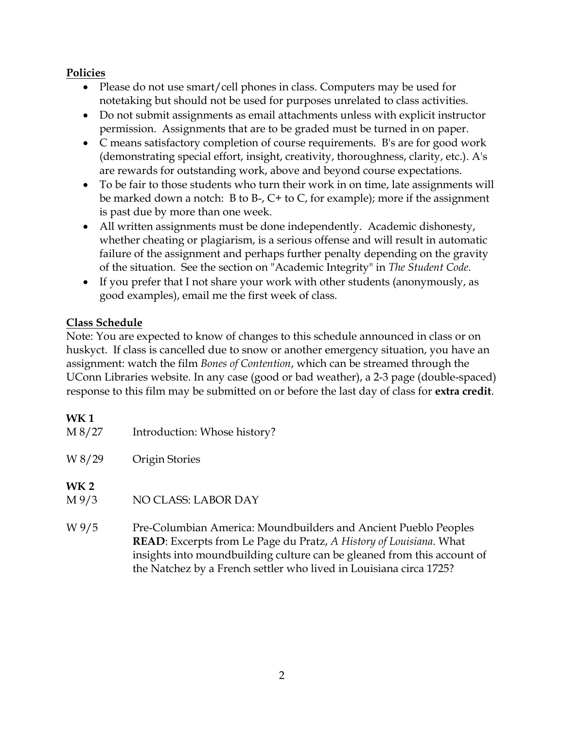## **Policies**

- Please do not use smart/cell phones in class. Computers may be used for notetaking but should not be used for purposes unrelated to class activities.
- Do not submit assignments as email attachments unless with explicit instructor permission. Assignments that are to be graded must be turned in on paper.
- C means satisfactory completion of course requirements. B's are for good work (demonstrating special effort, insight, creativity, thoroughness, clarity, etc.). A's are rewards for outstanding work, above and beyond course expectations.
- To be fair to those students who turn their work in on time, late assignments will be marked down a notch: B to B-, C+ to C, for example); more if the assignment is past due by more than one week.
- All written assignments must be done independently. Academic dishonesty, whether cheating or plagiarism, is a serious offense and will result in automatic failure of the assignment and perhaps further penalty depending on the gravity of the situation. See the section on "Academic Integrity" in *The Student Code*.
- If you prefer that I not share your work with other students (anonymously, as good examples), email me the first week of class.

## **Class Schedule**

Note: You are expected to know of changes to this schedule announced in class or on huskyct. If class is cancelled due to snow or another emergency situation, you have an assignment: watch the film *Bones of Contention*, which can be streamed through the UConn Libraries website. In any case (good or bad weather), a 2-3 page (double-spaced) response to this film may be submitted on or before the last day of class for **extra credit**.

## **WK 1**

| M 8/27        | Introduction: Whose history?                                                                                                                                                                                             |
|---------------|--------------------------------------------------------------------------------------------------------------------------------------------------------------------------------------------------------------------------|
| W 8/29        | Origin Stories                                                                                                                                                                                                           |
| WK 2<br>M 9/3 | NO CLASS: LABOR DAY                                                                                                                                                                                                      |
| W 9/5         | Pre-Columbian America: Moundbuilders and Ancient Pueblo Peoples<br><b>READ</b> : Excerpts from Le Page du Pratz, A History of Louisiana. What<br>insights into moundbuilding culture can be gleaned from this account of |

into moundbuilding culture can be gleaned from this account of the Natchez by a French settler who lived in Louisiana circa 1725?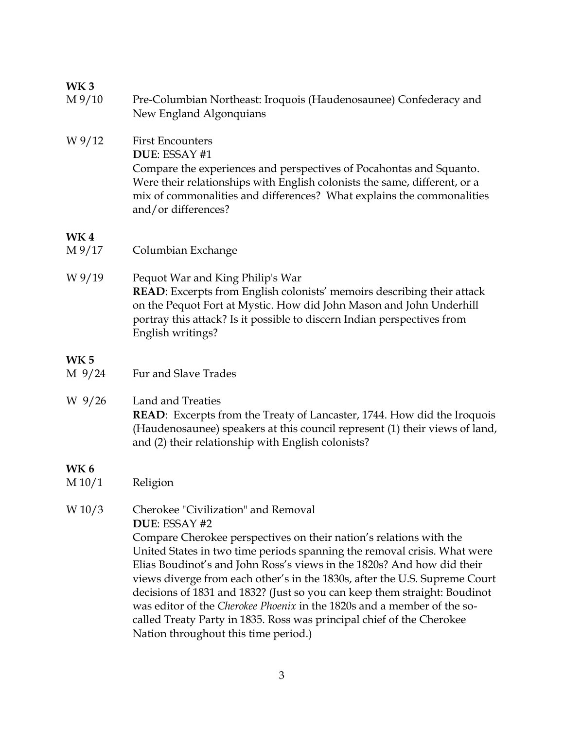| WK <sub>3</sub>                    |                                                                                                                                                                                                                                                                                                                                                                                                                                                                                                                                                                                                                                         |
|------------------------------------|-----------------------------------------------------------------------------------------------------------------------------------------------------------------------------------------------------------------------------------------------------------------------------------------------------------------------------------------------------------------------------------------------------------------------------------------------------------------------------------------------------------------------------------------------------------------------------------------------------------------------------------------|
| $M\frac{9}{10}$                    | Pre-Columbian Northeast: Iroquois (Haudenosaunee) Confederacy and<br>New England Algonquians                                                                                                                                                                                                                                                                                                                                                                                                                                                                                                                                            |
| W 9/12                             | <b>First Encounters</b><br>DUE: ESSAY #1<br>Compare the experiences and perspectives of Pocahontas and Squanto.<br>Were their relationships with English colonists the same, different, or a<br>mix of commonalities and differences? What explains the commonalities<br>and/or differences?                                                                                                                                                                                                                                                                                                                                            |
| WK <sub>4</sub><br>$M\frac{9}{17}$ | Columbian Exchange                                                                                                                                                                                                                                                                                                                                                                                                                                                                                                                                                                                                                      |
| W 9/19                             | Pequot War and King Philip's War<br><b>READ:</b> Excerpts from English colonists' memoirs describing their attack<br>on the Pequot Fort at Mystic. How did John Mason and John Underhill<br>portray this attack? Is it possible to discern Indian perspectives from<br>English writings?                                                                                                                                                                                                                                                                                                                                                |
| WK <sub>5</sub><br>$M\frac{9}{24}$ | Fur and Slave Trades                                                                                                                                                                                                                                                                                                                                                                                                                                                                                                                                                                                                                    |
| W 9/26                             | Land and Treaties<br><b>READ:</b> Excerpts from the Treaty of Lancaster, 1744. How did the Iroquois<br>(Haudenosaunee) speakers at this council represent (1) their views of land,<br>and (2) their relationship with English colonists?                                                                                                                                                                                                                                                                                                                                                                                                |
| <b>WK6</b><br>M 10/1               | Religion                                                                                                                                                                                                                                                                                                                                                                                                                                                                                                                                                                                                                                |
| W 10/3                             | Cherokee "Civilization" and Removal<br>DUE: ESSAY #2<br>Compare Cherokee perspectives on their nation's relations with the<br>United States in two time periods spanning the removal crisis. What were<br>Elias Boudinot's and John Ross's views in the 1820s? And how did their<br>views diverge from each other's in the 1830s, after the U.S. Supreme Court<br>decisions of 1831 and 1832? (Just so you can keep them straight: Boudinot<br>was editor of the Cherokee Phoenix in the 1820s and a member of the so-<br>called Treaty Party in 1835. Ross was principal chief of the Cherokee<br>Nation throughout this time period.) |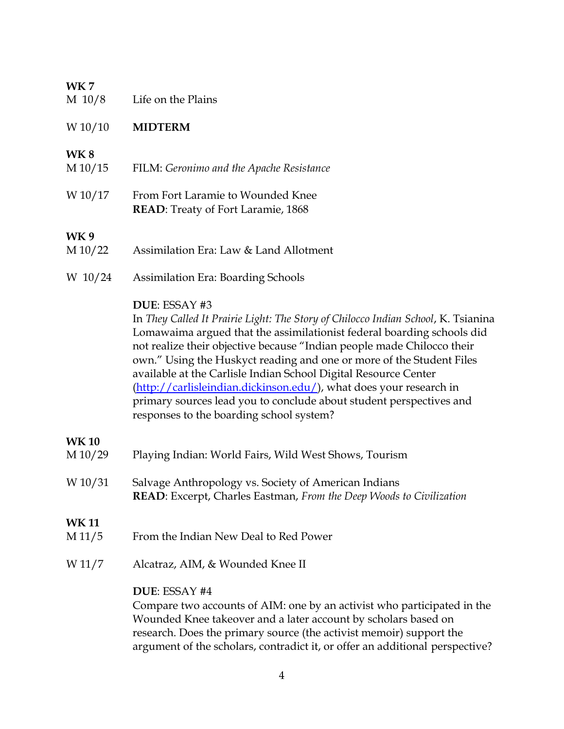### **WK 7**

| M 10/8 | Life on the Plains |
|--------|--------------------|
|--------|--------------------|

### W 10/10 **MIDTERM**

### **WK 8**

- M 10/15 FILM: *Geronimo and the Apache Resistance*
- W 10/17 From Fort Laramie to Wounded Knee **READ**: Treaty of Fort Laramie, 1868

#### **WK 9**

- M 10/22 Assimilation Era: Law & Land Allotment
- W 10/24 Assimilation Era: Boarding Schools

#### **DUE**: ESSAY #3

In *They Called It Prairie Light: The Story of Chilocco Indian School*, K. Tsianina Lomawaima argued that the assimilationist federal boarding schools did not realize their objective because "Indian people made Chilocco their own." Using the Huskyct reading and one or more of the Student Files available at the Carlisle Indian School Digital Resource Center [\(http://carlisleindian.dickinson.edu/\)](http://carlisleindian.dickinson.edu/), what does your research in primary sources lead you to conclude about student perspectives and responses to the boarding school system?

### **WK 10**

- M 10/29 Playing Indian: World Fairs, Wild West Shows, Tourism W 10/31 Salvage Anthropology vs. Society of American Indians **READ**: Excerpt, Charles Eastman, *From the Deep Woods to Civilization* **WK 11**
- M 11/5 From the Indian New Deal to Red Power
- W 11/7 Alcatraz, AIM, & Wounded Knee II

#### **DUE**: ESSAY #4

Compare two accounts of AIM: one by an activist who participated in the Wounded Knee takeover and a later account by scholars based on research. Does the primary source (the activist memoir) support the argument of the scholars, contradict it, or offer an additional perspective?